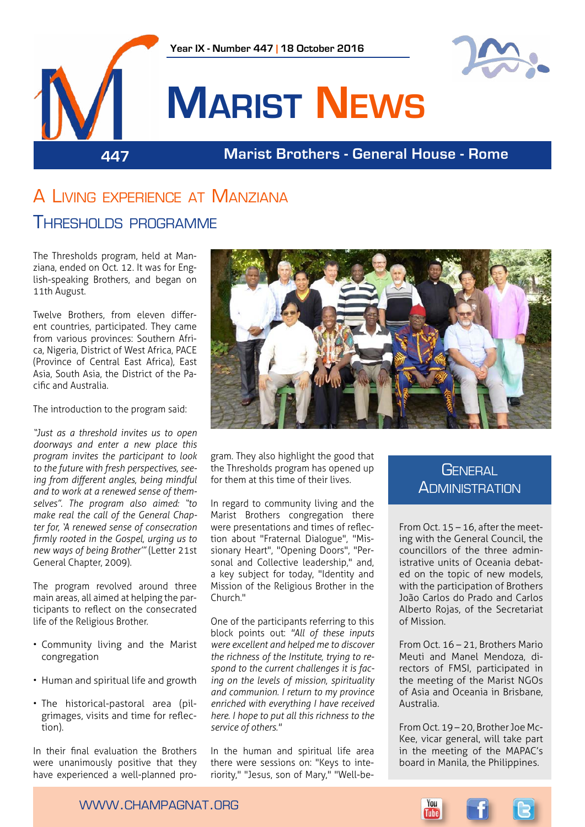

# A Living experience at Manziana THRESHOLDS PROGRAMME

The Thresholds program, held at Manziana, ended on Oct. 12. It was for English-speaking Brothers, and began on 11th August.

Twelve Brothers, from eleven different countries, participated. They came from various provinces: Southern Africa, Nigeria, District of West Africa, PACE (Province of Central East Africa), East Asia, South Asia, the District of the Pacific and Australia.

The introduction to the program said:

*"Just as a threshold invites us to open doorways and enter a new place this program invites the participant to look to the future with fresh perspectives, seeing from different angles, being mindful and to work at a renewed sense of themselves". The program also aimed: "to make real the call of the General Chapter for, 'A renewed sense of consecration firmly rooted in the Gospel, urging us to new ways of being Brother'"* (Letter 21st General Chapter, 2009).

The program revolved around three main areas, all aimed at helping the participants to reflect on the consecrated life of the Religious Brother.

- Community living and the Marist congregation
- Human and spiritual life and growth
- The historical-pastoral area (pilgrimages, visits and time for reflection).

In their final evaluation the Brothers were unanimously positive that they have experienced a well-planned pro-



gram. They also highlight the good that the Thresholds program has opened up for them at this time of their lives.

In regard to community living and the Marist Brothers congregation there were presentations and times of reflection about "Fraternal Dialogue", "Missionary Heart", "Opening Doors", "Personal and Collective leadership," and, a key subject for today, "Identity and Mission of the Religious Brother in the Church."

One of the participants referring to this block points out: *"All of these inputs were excellent and helped me to discover the richness of the Institute, trying to respond to the current challenges it is facing on the levels of mission, spirituality and communion. I return to my province enriched with everything I have received here. I hope to put all this richness to the service of others."*

In the human and spiritual life area there were sessions on: "Keys to interiority," "Jesus, son of Mary," "Well-be-

# **GENERAL ADMINISTRATION**

From Oct.  $15 - 16$ , after the meeting with the General Council, the councillors of the three administrative units of Oceania debated on the topic of new models, with the participation of Brothers João Carlos do Prado and Carlos Alberto Rojas, of the Secretariat of Mission.

From Oct. 16 – 21, Brothers Mario Meuti and Manel Mendoza, directors of FMSI, participated in the meeting of the Marist NGOs of Asia and Oceania in Brisbane, Australia.

From Oct. 19 – 20, Brother Joe Mc-Kee, vicar general, will take part in the meeting of the MAPAC's board in Manila, the Philippines.



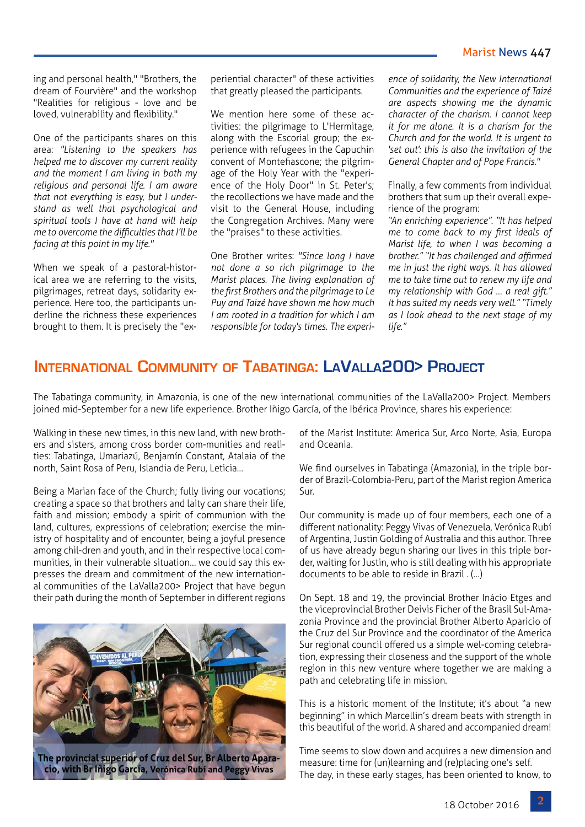#### Marist News 447

ing and personal health," "Brothers, the dream of Fourvière" and the workshop "Realities for religious - love and be loved, vulnerability and flexibility."

One of the participants shares on this area: *"Listening to the speakers has helped me to discover my current reality and the moment I am living in both my religious and personal life. I am aware that not everything is easy, but I understand as well that psychological and spiritual tools I have at hand will help me to overcome the difficulties that I'll be facing at this point in my life."*

When we speak of a pastoral-historical area we are referring to the visits, pilgrimages, retreat days, solidarity experience. Here too, the participants underline the richness these experiences brought to them. It is precisely the "experiential character" of these activities that greatly pleased the participants.

We mention here some of these activities: the pilgrimage to L'Hermitage, along with the Escorial group; the experience with refugees in the Capuchin convent of Montefiascone; the pilgrimage of the Holy Year with the "experience of the Holy Door" in St. Peter's; the recollections we have made and the visit to the General House, including the Congregation Archives. Many were the "praises" to these activities.

One Brother writes: *"Since long I have not done a so rich pilgrimage to the Marist places. The living explanation of the first Brothers and the pilgrimage to Le Puy and Taizé have shown me how much I am rooted in a tradition for which I am responsible for today's times. The experi-* *ence of solidarity, the New International Communities and the experience of Taizé are aspects showing me the dynamic character of the charism. I cannot keep it for me alone. It is a charism for the Church and for the world. It is urgent to 'set out': this is also the invitation of the General Chapter and of Pope Francis."*

Finally, a few comments from individual brothers that sum up their overall experience of the program:

*"An enriching experience". "It has helped me to come back to my first ideals of Marist life, to when I was becoming a brother." "It has challenged and affirmed me in just the right ways. It has allowed me to take time out to renew my life and my relationship with God … a real gift." It has suited my needs very well." "Timely as I look ahead to the next stage of my life."* 

## **International Community of Tabatinga: LaValla200> Project**

The Tabatinga community, in Amazonia, is one of the new international communities of the LaValla200> Project. Members joined mid-September for a new life experience. Brother Iñigo García, of the Ibérica Province, shares his experience:

Walking in these new times, in this new land, with new brothers and sisters, among cross border com-munities and realities: Tabatinga, Umariazú, Benjamín Constant, Atalaia of the north, Saint Rosa of Peru, Islandia de Peru, Leticia…

Being a Marian face of the Church; fully living our vocations; creating a space so that brothers and laity can share their life, faith and mission; embody a spirit of communion with the land, cultures, expressions of celebration; exercise the ministry of hospitality and of encounter, being a joyful presence among chil-dren and youth, and in their respective local communities, in their vulnerable situation… we could say this expresses the dream and commitment of the new international communities of the LaValla200> Project that have begun their path during the month of September in different regions



of the Marist Institute: America Sur, Arco Norte, Asia, Europa and Oceania.

We find ourselves in Tabatinga (Amazonia), in the triple border of Brazil-Colombia-Peru, part of the Marist region America Sur.

Our community is made up of four members, each one of a different nationality: Peggy Vivas of Venezuela, Verónica Rubí of Argentina, Justin Golding of Australia and this author. Three of us have already begun sharing our lives in this triple border, waiting for Justin, who is still dealing with his appropriate documents to be able to reside in Brazil . (…)

On Sept. 18 and 19, the provincial Brother Inácio Etges and the viceprovincial Brother Deivis Ficher of the Brasil Sul-Amazonia Province and the provincial Brother Alberto Aparicio of the Cruz del Sur Province and the coordinator of the America Sur regional council offered us a simple wel-coming celebration, expressing their closeness and the support of the whole region in this new venture where together we are making a path and celebrating life in mission.

This is a historic moment of the Institute; it's about "a new beginning" in which Marcellin's dream beats with strength in this beautiful of the world. A shared and accompanied dream!

Time seems to slow down and acquires a new dimension and measure: time for (un)learning and (re)placing one's self. The day, in these early stages, has been oriented to know, to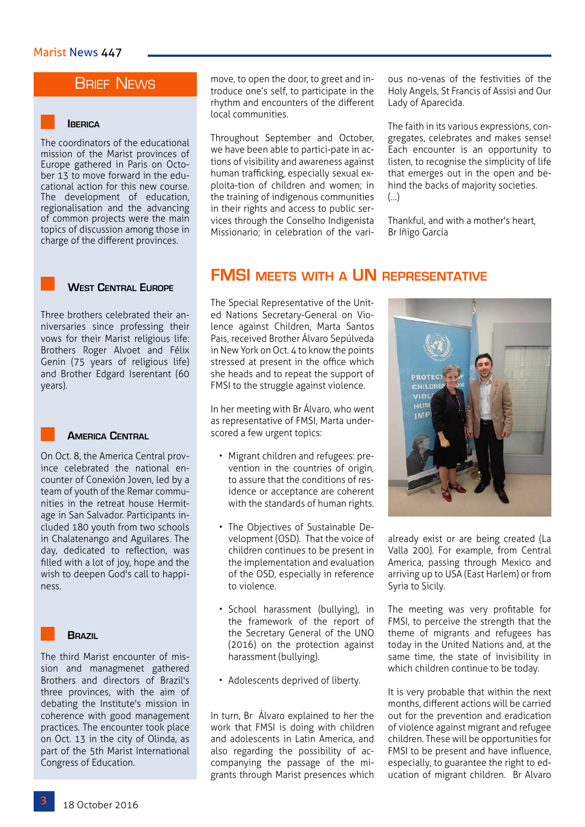# **BRIEF NEWS**

#### **Iberica**

The coordinators of the educational mission of the Marist provinces of Europe gathered in Paris on October 13 to move forward in the educational action for this new course. The development of education, regionalisation and the advancing of common projects were the main topics of discussion among those in charge of the different provinces.

#### **West Central Europe**

Three brothers celebrated their anniversaries since professing their vows for their Marist religious life: Brothers Roger Alvoet and Félix Genin (75 years of religious life) and Brother Edgard Iserentant (60 years).

#### **America Central**

On Oct. 8, the America Central province celebrated the national encounter of Conexión Joven, led by a team of youth of the Remar communities in the retreat house Hermitage in San Salvador. Participants included 180 youth from two schools in Chalatenango and Aguilares. The day, dedicated to reflection, was filled with a lot of joy, hope and the wish to deepen God's call to happiness.



The third Marist encounter of mission and managmenet gathered Brothers and directors of Brazil's three provinces, with the aim of debating the Institute's mission in coherence with good management practices. The encounter took place on Oct. 13 in the city of Olinda, as part of the 5th Marist International Congress of Education.

move, to open the door, to greet and introduce one's self, to participate in the rhythm and encounters of the different local communities.

Throughout September and October, we have been able to partici-pate in actions of visibility and awareness against human trafficking, especially sexual exploita-tion of children and women; in the training of indigenous communities in their rights and access to public services through the Conselho Indigenista Missionario; in celebration of the various no-venas of the festivities of the Holy Angels, St Francis of Assisi and Our Lady of Aparecida.

The faith in its various expressions, congregates, celebrates and makes sense! Each encounter is an opportunity to listen, to recognise the simplicity of life that emerges out in the open and behind the backs of majority societies. (…)

Thankful, and with a mother's heart, Br Iñigo García

### **FMSI meets with a UN representative**

The Special Representative of the United Nations Secretary-General on Violence against Children, Marta Santos Pais, received Brother Álvaro Sepúlveda in New York on Oct. 4 to know the points stressed at present in the office which she heads and to repeat the support of FMSI to the struggle against violence.

In her meeting with Br Álvaro, who went as representative of FMSI, Marta underscored a few urgent topics:

- Migrant children and refugees: prevention in the countries of origin, to assure that the conditions of residence or acceptance are coherent with the standards of human rights.
- The Objectives of Sustainable Development (OSD). That the voice of children continues to be present in the implementation and evaluation of the OSD, especially in reference to violence.
- School harassment (bullying), in the framework of the report of the Secretary General of the UNO (2016) on the protection against harassment (bullying).
- Adolescents deprived of liberty.

In turn, Br Álvaro explained to her the work that FMSI is doing with children and adolescents in Latin America, and also regarding the possibility of accompanying the passage of the migrants through Marist presences which **PROTEC** VIOI

already exist or are being created (La Valla 200). For example, from Central America, passing through Mexico and arriving up to USA (East Harlem) or from Syria to Sicily.

The meeting was very profitable for FMSI, to perceive the strength that the theme of migrants and refugees has today in the United Nations and, at the same time, the state of invisibility in which children continue to be today.

It is very probable that within the next months, different actions will be carried out for the prevention and eradication of violence against migrant and refugee children. These will be opportunities for FMSI to be present and have influence, especially, to guarantee the right to education of migrant children. Br Alvaro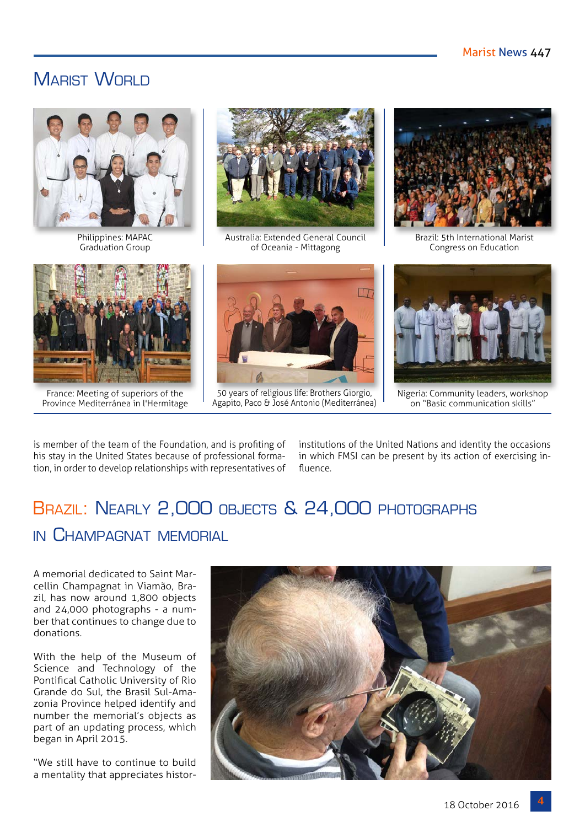# MARIST WORLD



Philippines: MAPAC Graduation Group



Australia: Extended General Council of Oceania - Mittagong



Brazil: 5th International Marist Congress on Education



France: Meeting of superiors of the Province Mediterránea in l'Hermitage



50 years of religious life: Brothers Giorgio, Agapito, Paco & José Antonio (Mediterránea)



Nigeria: Community leaders, workshop on "Basic communication skills"

is member of the team of the Foundation, and is profiting of his stay in the United States because of professional formation, in order to develop relationships with representatives of institutions of the United Nations and identity the occasions in which FMSI can be present by its action of exercising influence.

# BRAZIL: NEARLY 2,000 OBJECTS & 24,000 PHOTOGRAPHS in Champagnat memorial

A memorial dedicated to Saint Marcellin Champagnat in Viamão, Brazil, has now around 1,800 objects and 24,000 photographs - a number that continues to change due to donations.

With the help of the Museum of Science and Technology of the Pontifical Catholic University of Rio Grande do Sul, the Brasil Sul-Amazonia Province helped identify and number the memorial's objects as part of an updating process, which began in April 2015.

"We still have to continue to build a mentality that appreciates histor-

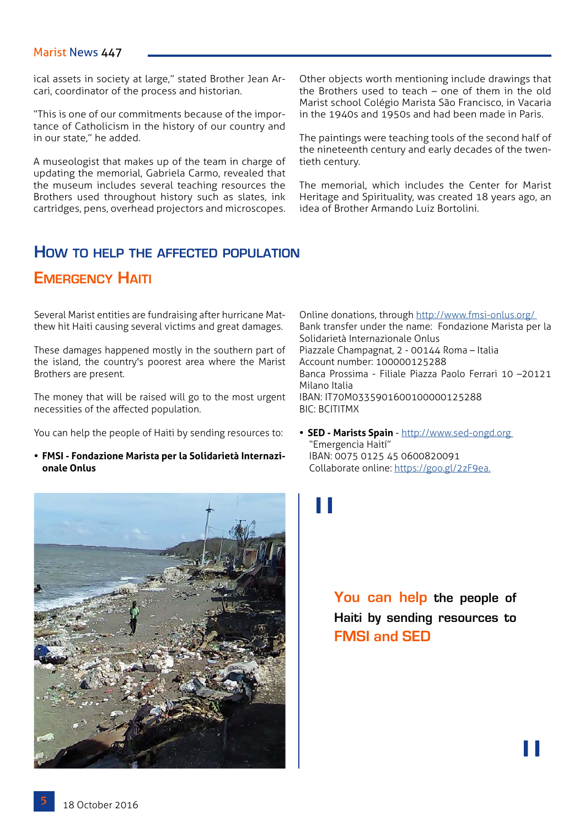#### Marist News 447

ical assets in society at large," stated Brother Jean Arcari, coordinator of the process and historian.

"This is one of our commitments because of the importance of Catholicism in the history of our country and in our state," he added.

A museologist that makes up of the team in charge of updating the memorial, Gabriela Carmo, revealed that the museum includes several teaching resources the Brothers used throughout history such as slates, ink cartridges, pens, overhead projectors and microscopes.

**How to help the affected population**

## **Emergency Haiti**

Several Marist entities are fundraising after hurricane Matthew hit Haiti causing several victims and great damages.

These damages happened mostly in the southern part of the island, the country's poorest area where the Marist Brothers are present.

The money that will be raised will go to the most urgent necessities of the affected population.

You can help the people of Haiti by sending resources to:

**• FMSI - Fondazione Marista per la Solidarietà Internazionale Onlus**



Other objects worth mentioning include drawings that the Brothers used to teach – one of them in the old Marist school Colégio Marista São Francisco, in Vacaria in the 1940s and 1950s and had been made in Paris.

The paintings were teaching tools of the second half of the nineteenth century and early decades of the twentieth century.

The memorial, which includes the Center for Marist Heritage and Spirituality, was created 18 years ago, an idea of Brother Armando Luiz Bortolini.

Online donations, through <http://www.fmsi-onlus.org/> Bank transfer under the name: Fondazione Marista per la Solidarietà Internazionale Onlus Piazzale Champagnat, 2 - 00144 Roma – Italia Account number: 100000125288 Banca Prossima - Filiale Piazza Paolo Ferrari 10 –20121 Milano Italia IBAN: IT70M0335901600100000125288 BIC: BCITITMX

**• SED - Marists Spain** - [http://www.sed-ongd.org](http://www.sed-ongd.org )  "Emergencia Haití" IBAN: 0075 0125 45 0600820091 Collaborate online: <https://goo.gl/2zF9ea>.



**You can help the people of Haiti by sending resources to FMSI and SED**

"